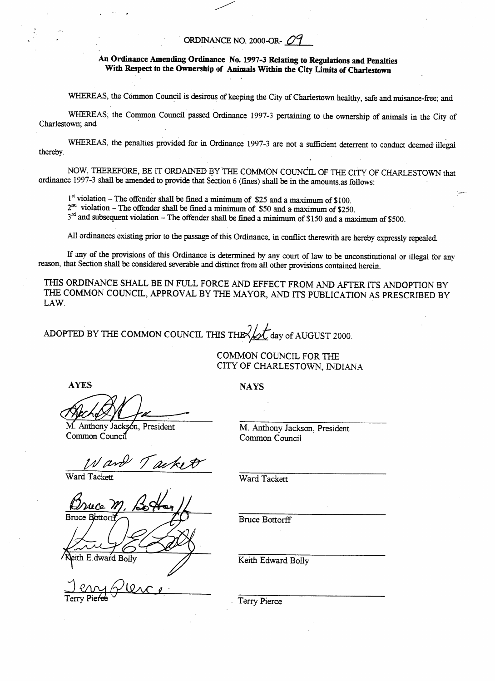## ORDINANCE **NO. 2000-0R-** *09*

## **An Ordinance Amending Ordinance No. 1997-3 Relating to Regulations and Penalties With Respect to the Ownership of Animals Within the City Limits of Charlestown**

WHEREAS, the Common Council is desirous of keeping the City of Charlestown healthy, safe and nuisance-free; and

WHEREAS. the Common Council passed Ordinance 1997-3 pertaining to the ownership of **animals** in the City of Charlestown; and

WHEREAS, the penalties provided for in Ordinance 1997-3 are not a sufficient deterrent to conduct deemed illegal thereby.

NOW, THEREFORE, **BE** IT **ORDAINED BY** 'THE COMMON COUNCIL OF THE CITY OF CHARLESTOWN **that**  ordinance 1997-3 shall be amended to provide that **Section** *6* (fines) shall be in the amounts **as** follows:

 $1<sup>st</sup>$  violation – The offender shall be fined a minimum of \$25 and a maximum of \$100.

2nd violation - **The** offender shall be fined a **minimum** of \$50 and *a* maximum of **\$250.** 

 $3<sup>rd</sup>$  and subsequent violation – The offender shall be fined a minimum of \$150 and a maximum of \$500.

*All* ordinances existing prior to the **passage** of this Ordinance, in *conflict* therewith are hereby expressly *repealed* 

If any of the provisions of this Ordinance is determined **by** any court of law to be unconstitutional or illegal for any reason, that Section shall be considered severable and **distinct** from all other provisions contained herein.

THIS ORDINANCE **SHALL** BE IN **FULL FORCE** AND EFFECT **FROM** AND **AFTER ITS** ADOPTION BY THE COMMON **COUNCIL, APPROVAL** BY THE MAYOR, *AND* **ITS** PUBLICATION **AS PRESCRIBED** BY LAW.

ADOPTED BY THE COMMON COUNCIL THIS THE  $\sqrt{\sqrt{}}$  day of AUGUST 2000.

COMMON COUNCIL **FOR** THE CITY OF CHARLESTOWN, INDIANA

AYES NAYS

M. Anthony Jacks President Sn, Common Council

M. Anthony Jackson, President Common Council

*Ward Tackett* 

Ward Tackett

E.dward Bolly

Ward Tackett

Bruce Bottorff

Keith Edward Bolly

. Terry Pierce